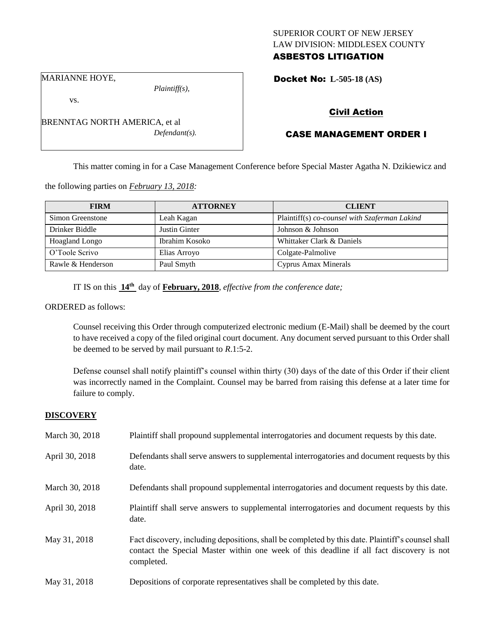## SUPERIOR COURT OF NEW JERSEY LAW DIVISION: MIDDLESEX COUNTY ASBESTOS LITIGATION

Docket No: **L-505-18 (AS)** 

MARIANNE HOYE,

*Plaintiff(s),*

Civil Action

# CASE MANAGEMENT ORDER I

This matter coming in for a Case Management Conference before Special Master Agatha N. Dzikiewicz and

the following parties on *February 13, 2018:*

| <b>FIRM</b>           | <b>ATTORNEY</b> | <b>CLIENT</b>                                 |
|-----------------------|-----------------|-----------------------------------------------|
| Simon Greenstone      | Leah Kagan      | Plaintiff(s) co-counsel with Szaferman Lakind |
| Drinker Biddle        | Justin Ginter   | Johnson & Johnson                             |
| <b>Hoagland Longo</b> | Ibrahim Kosoko  | Whittaker Clark & Daniels                     |
| O'Toole Scrivo        | Elias Arroyo    | Colgate-Palmolive                             |
| Rawle & Henderson     | Paul Smyth      | Cyprus Amax Minerals                          |

IT IS on this **14th** day of **February, 2018**, *effective from the conference date;*

ORDERED as follows:

Counsel receiving this Order through computerized electronic medium (E-Mail) shall be deemed by the court to have received a copy of the filed original court document. Any document served pursuant to this Order shall be deemed to be served by mail pursuant to *R*.1:5-2.

Defense counsel shall notify plaintiff's counsel within thirty (30) days of the date of this Order if their client was incorrectly named in the Complaint. Counsel may be barred from raising this defense at a later time for failure to comply.

#### **DISCOVERY**

| March 30, 2018 | Plaintiff shall propound supplemental interrogatories and document requests by this date.                                                                                                                   |
|----------------|-------------------------------------------------------------------------------------------------------------------------------------------------------------------------------------------------------------|
| April 30, 2018 | Defendants shall serve answers to supplemental interrogatories and document requests by this<br>date.                                                                                                       |
| March 30, 2018 | Defendants shall propound supplemental interrogatories and document requests by this date.                                                                                                                  |
| April 30, 2018 | Plaintiff shall serve answers to supplemental interrogatories and document requests by this<br>date.                                                                                                        |
| May 31, 2018   | Fact discovery, including depositions, shall be completed by this date. Plaintiff's counsel shall<br>contact the Special Master within one week of this deadline if all fact discovery is not<br>completed. |
| May 31, 2018   | Depositions of corporate representatives shall be completed by this date.                                                                                                                                   |



vs.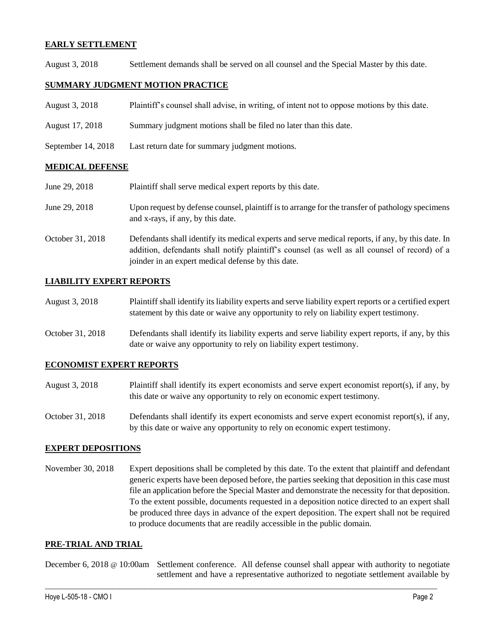## **EARLY SETTLEMENT**

August 3, 2018 Settlement demands shall be served on all counsel and the Special Master by this date.

## **SUMMARY JUDGMENT MOTION PRACTICE**

| August 3, 2018       | Plaintiff's counsel shall advise, in writing, of intent not to oppose motions by this date. |
|----------------------|---------------------------------------------------------------------------------------------|
| August 17, 2018      | Summary judgment motions shall be filed no later than this date.                            |
| September $14, 2018$ | Last return date for summary judgment motions.                                              |

## **MEDICAL DEFENSE**

| June 29, 2018    | Plaintiff shall serve medical expert reports by this date.                                                                                                                                                                                               |
|------------------|----------------------------------------------------------------------------------------------------------------------------------------------------------------------------------------------------------------------------------------------------------|
| June 29, 2018    | Upon request by defense counsel, plaintiff is to arrange for the transfer of pathology specimens<br>and x-rays, if any, by this date.                                                                                                                    |
| October 31, 2018 | Defendants shall identify its medical experts and serve medical reports, if any, by this date. In<br>addition, defendants shall notify plaintiff's counsel (as well as all counsel of record) of a<br>joinder in an expert medical defense by this date. |

## **LIABILITY EXPERT REPORTS**

| August 3, 2018 | Plaintiff shall identify its liability experts and serve liability expert reports or a certified expert |
|----------------|---------------------------------------------------------------------------------------------------------|
|                | statement by this date or waive any opportunity to rely on liability expert testimony.                  |

October 31, 2018 Defendants shall identify its liability experts and serve liability expert reports, if any, by this date or waive any opportunity to rely on liability expert testimony.

#### **ECONOMIST EXPERT REPORTS**

- August 3, 2018 Plaintiff shall identify its expert economists and serve expert economist report(s), if any, by this date or waive any opportunity to rely on economic expert testimony.
- October 31, 2018 Defendants shall identify its expert economists and serve expert economist report(s), if any, by this date or waive any opportunity to rely on economic expert testimony.

#### **EXPERT DEPOSITIONS**

November 30, 2018 Expert depositions shall be completed by this date. To the extent that plaintiff and defendant generic experts have been deposed before, the parties seeking that deposition in this case must file an application before the Special Master and demonstrate the necessity for that deposition. To the extent possible, documents requested in a deposition notice directed to an expert shall be produced three days in advance of the expert deposition. The expert shall not be required to produce documents that are readily accessible in the public domain.

#### **PRE-TRIAL AND TRIAL**

December 6, 2018 @ 10:00am Settlement conference. All defense counsel shall appear with authority to negotiate settlement and have a representative authorized to negotiate settlement available by

 $\_$  ,  $\_$  ,  $\_$  ,  $\_$  ,  $\_$  ,  $\_$  ,  $\_$  ,  $\_$  ,  $\_$  ,  $\_$  ,  $\_$  ,  $\_$  ,  $\_$  ,  $\_$  ,  $\_$  ,  $\_$  ,  $\_$  ,  $\_$  ,  $\_$  ,  $\_$  ,  $\_$  ,  $\_$  ,  $\_$  ,  $\_$  ,  $\_$  ,  $\_$  ,  $\_$  ,  $\_$  ,  $\_$  ,  $\_$  ,  $\_$  ,  $\_$  ,  $\_$  ,  $\_$  ,  $\_$  ,  $\_$  ,  $\_$  ,